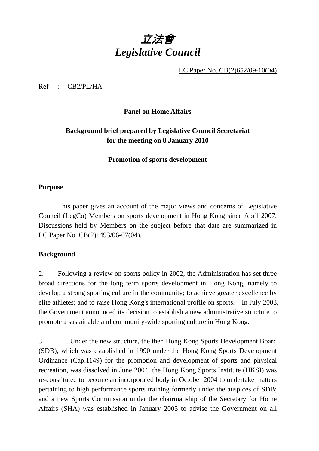

LC Paper No. CB(2)652/09-10(04)

Ref : CB2/PL/HA

#### **Panel on Home Affairs**

## **Background brief prepared by Legislative Council Secretariat for the meeting on 8 January 2010**

#### **Promotion of sports development**

#### **Purpose**

 This paper gives an account of the major views and concerns of Legislative Council (LegCo) Members on sports development in Hong Kong since April 2007. Discussions held by Members on the subject before that date are summarized in LC Paper No. CB(2)1493/06-07(04).

#### **Background**

2. Following a review on sports policy in 2002, the Administration has set three broad directions for the long term sports development in Hong Kong, namely to develop a strong sporting culture in the community; to achieve greater excellence by elite athletes; and to raise Hong Kong's international profile on sports. In July 2003, the Government announced its decision to establish a new administrative structure to promote a sustainable and community-wide sporting culture in Hong Kong.

3. Under the new structure, the then Hong Kong Sports Development Board (SDB), which was established in 1990 under the Hong Kong Sports Development Ordinance (Cap.1149) for the promotion and development of sports and physical recreation, was dissolved in June 2004; the Hong Kong Sports Institute (HKSI) was re-constituted to become an incorporated body in October 2004 to undertake matters pertaining to high performance sports training formerly under the auspices of SDB; and a new Sports Commission under the chairmanship of the Secretary for Home Affairs (SHA) was established in January 2005 to advise the Government on all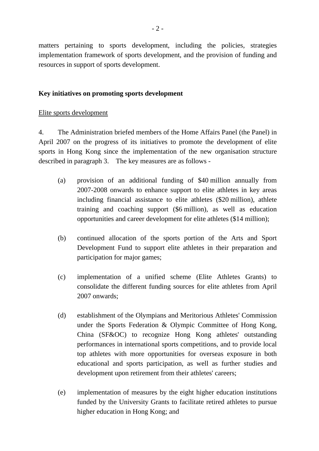matters pertaining to sports development, including the policies, strategies implementation framework of sports development, and the provision of funding and resources in support of sports development.

#### **Key initiatives on promoting sports development**

#### Elite sports development

4. The Administration briefed members of the Home Affairs Panel (the Panel) in April 2007 on the progress of its initiatives to promote the development of elite sports in Hong Kong since the implementation of the new organisation structure described in paragraph 3. The key measures are as follows -

- (a) provision of an additional funding of \$40 million annually from 2007-2008 onwards to enhance support to elite athletes in key areas including financial assistance to elite athletes (\$20 million), athlete training and coaching support (\$6 million), as well as education opportunities and career development for elite athletes (\$14 million);
- (b) continued allocation of the sports portion of the Arts and Sport Development Fund to support elite athletes in their preparation and participation for major games;
- (c) implementation of a unified scheme (Elite Athletes Grants) to consolidate the different funding sources for elite athletes from April 2007 onwards;
- (d) establishment of the Olympians and Meritorious Athletes' Commission under the Sports Federation & Olympic Committee of Hong Kong, China (SF&OC) to recognize Hong Kong athletes' outstanding performances in international sports competitions, and to provide local top athletes with more opportunities for overseas exposure in both educational and sports participation, as well as further studies and development upon retirement from their athletes' careers;
- (e) implementation of measures by the eight higher education institutions funded by the University Grants to facilitate retired athletes to pursue higher education in Hong Kong; and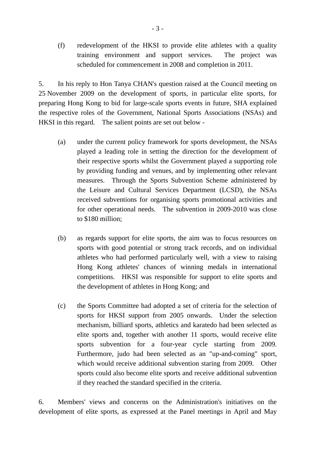(f) redevelopment of the HKSI to provide elite athletes with a quality training environment and support services. The project was scheduled for commencement in 2008 and completion in 2011.

5. In his reply to Hon Tanya CHAN's question raised at the Council meeting on 25 November 2009 on the development of sports, in particular elite sports, for preparing Hong Kong to bid for large-scale sports events in future, SHA explained the respective roles of the Government, National Sports Associations (NSAs) and HKSI in this regard. The salient points are set out below -

- (a) under the current policy framework for sports development, the NSAs played a leading role in setting the direction for the development of their respective sports whilst the Government played a supporting role by providing funding and venues, and by implementing other relevant measures. Through the Sports Subvention Scheme administered by the Leisure and Cultural Services Department (LCSD), the NSAs received subventions for organising sports promotional activities and for other operational needs. The subvention in 2009-2010 was close to \$180 million;
- (b) as regards support for elite sports, the aim was to focus resources on sports with good potential or strong track records, and on individual athletes who had performed particularly well, with a view to raising Hong Kong athletes' chances of winning medals in international competitions. HKSI was responsible for support to elite sports and the development of athletes in Hong Kong; and
- (c) the Sports Committee had adopted a set of criteria for the selection of sports for HKSI support from 2005 onwards. Under the selection mechanism, billiard sports, athletics and karatedo had been selected as elite sports and, together with another 11 sports, would receive elite sports subvention for a four-year cycle starting from 2009. Furthermore, judo had been selected as an "up-and-coming" sport, which would receive additional subvention staring from 2009. Other sports could also become elite sports and receive additional subvention if they reached the standard specified in the criteria.

6. Members' views and concerns on the Administration's initiatives on the development of elite sports, as expressed at the Panel meetings in April and May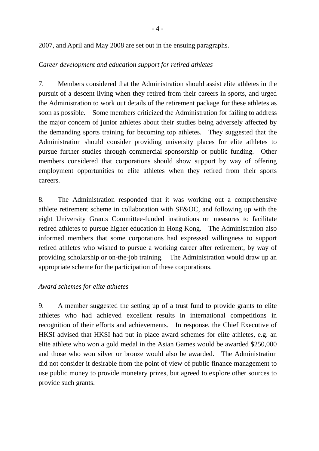2007, and April and May 2008 are set out in the ensuing paragraphs.

## *Career development and education support for retired athletes*

7. Members considered that the Administration should assist elite athletes in the pursuit of a descent living when they retired from their careers in sports, and urged the Administration to work out details of the retirement package for these athletes as soon as possible. Some members criticized the Administration for failing to address the major concern of junior athletes about their studies being adversely affected by the demanding sports training for becoming top athletes. They suggested that the Administration should consider providing university places for elite athletes to pursue further studies through commercial sponsorship or public funding. Other members considered that corporations should show support by way of offering employment opportunities to elite athletes when they retired from their sports careers.

8. The Administration responded that it was working out a comprehensive athlete retirement scheme in collaboration with SF&OC, and following up with the eight University Grants Committee-funded institutions on measures to facilitate retired athletes to pursue higher education in Hong Kong. The Administration also informed members that some corporations had expressed willingness to support retired athletes who wished to pursue a working career after retirement, by way of providing scholarship or on-the-job training. The Administration would draw up an appropriate scheme for the participation of these corporations.

## *Award schemes for elite athletes*

9. A member suggested the setting up of a trust fund to provide grants to elite athletes who had achieved excellent results in international competitions in recognition of their efforts and achievements. In response, the Chief Executive of HKSI advised that HKSI had put in place award schemes for elite athletes, e.g. an elite athlete who won a gold medal in the Asian Games would be awarded \$250,000 and those who won silver or bronze would also be awarded. The Administration did not consider it desirable from the point of view of public finance management to use public money to provide monetary prizes, but agreed to explore other sources to provide such grants.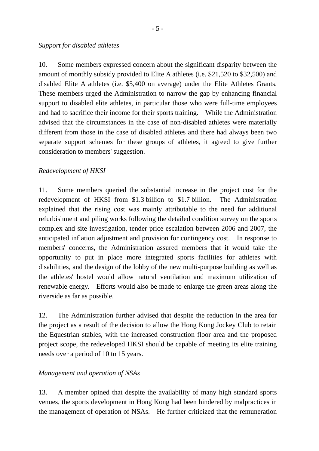10. Some members expressed concern about the significant disparity between the amount of monthly subsidy provided to Elite A athletes (i.e. \$21,520 to \$32,500) and disabled Elite A athletes (i.e. \$5,400 on average) under the Elite Athletes Grants. These members urged the Administration to narrow the gap by enhancing financial support to disabled elite athletes, in particular those who were full-time employees and had to sacrifice their income for their sports training. While the Administration advised that the circumstances in the case of non-disabled athletes were materially different from those in the case of disabled athletes and there had always been two separate support schemes for these groups of athletes, it agreed to give further consideration to members' suggestion.

## *Redevelopment of HKSI*

11. Some members queried the substantial increase in the project cost for the redevelopment of HKSI from \$1.3 billion to \$1.7 billion. The Administration explained that the rising cost was mainly attributable to the need for additional refurbishment and piling works following the detailed condition survey on the sports complex and site investigation, tender price escalation between 2006 and 2007, the anticipated inflation adjustment and provision for contingency cost. In response to members' concerns, the Administration assured members that it would take the opportunity to put in place more integrated sports facilities for athletes with disabilities, and the design of the lobby of the new multi-purpose building as well as the athletes' hostel would allow natural ventilation and maximum utilization of renewable energy. Efforts would also be made to enlarge the green areas along the riverside as far as possible.

12. The Administration further advised that despite the reduction in the area for the project as a result of the decision to allow the Hong Kong Jockey Club to retain the Equestrian stables, with the increased construction floor area and the proposed project scope, the redeveloped HKSI should be capable of meeting its elite training needs over a period of 10 to 15 years.

## *Management and operation of NSAs*

13. A member opined that despite the availability of many high standard sports venues, the sports development in Hong Kong had been hindered by malpractices in the management of operation of NSAs. He further criticized that the remuneration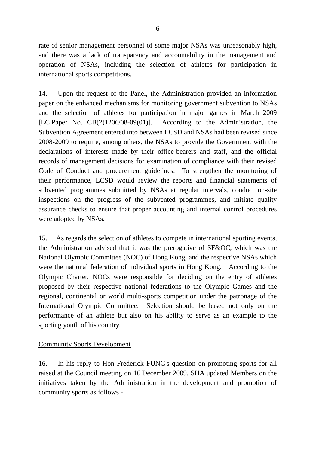rate of senior management personnel of some major NSAs was unreasonably high, and there was a lack of transparency and accountability in the management and operation of NSAs, including the selection of athletes for participation in international sports competitions.

14. Upon the request of the Panel, the Administration provided an information paper on the enhanced mechanisms for monitoring government subvention to NSAs and the selection of athletes for participation in major games in March 2009 [LC Paper No. CB(2)1206/08-09(01)]. According to the Administration, the Subvention Agreement entered into between LCSD and NSAs had been revised since 2008-2009 to require, among others, the NSAs to provide the Government with the declarations of interests made by their office-bearers and staff, and the official records of management decisions for examination of compliance with their revised Code of Conduct and procurement guidelines. To strengthen the monitoring of their performance, LCSD would review the reports and financial statements of subvented programmes submitted by NSAs at regular intervals, conduct on-site inspections on the progress of the subvented programmes, and initiate quality assurance checks to ensure that proper accounting and internal control procedures were adopted by NSAs.

15. As regards the selection of athletes to compete in international sporting events, the Administration advised that it was the prerogative of SF&OC, which was the National Olympic Committee (NOC) of Hong Kong, and the respective NSAs which were the national federation of individual sports in Hong Kong. According to the Olympic Charter, NOCs were responsible for deciding on the entry of athletes proposed by their respective national federations to the Olympic Games and the regional, continental or world multi-sports competition under the patronage of the International Olympic Committee. Selection should be based not only on the performance of an athlete but also on his ability to serve as an example to the sporting youth of his country.

## Community Sports Development

16. In his reply to Hon Frederick FUNG's question on promoting sports for all raised at the Council meeting on 16 December 2009, SHA updated Members on the initiatives taken by the Administration in the development and promotion of community sports as follows -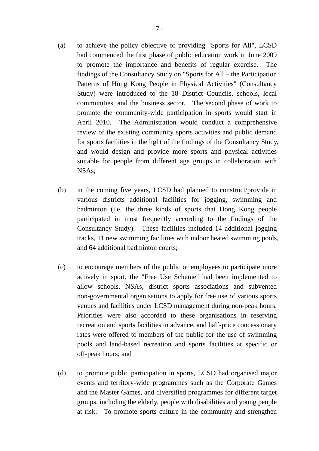- (a) to achieve the policy objective of providing "Sports for All", LCSD had commenced the first phase of public education work in June 2009 to promote the importance and benefits of regular exercise. The findings of the Consultancy Study on "Sports for All – the Participation Patterns of Hong Kong People in Physical Activities" (Consultancy Study) were introduced to the 18 District Councils, schools, local communities, and the business sector. The second phase of work to promote the community-wide participation in sports would start in April 2010. The Administration would conduct a comprehensive review of the existing community sports activities and public demand for sports facilities in the light of the findings of the Consultancy Study, and would design and provide more sports and physical activities suitable for people from different age groups in collaboration with NSAs;
- (b) in the coming five years, LCSD had planned to construct/provide in various districts additional facilities for jogging, swimming and badminton (i.e. the three kinds of sports that Hong Kong people participated in most frequently according to the findings of the Consultancy Study). These facilities included 14 additional jogging tracks, 11 new swimming facilities with indoor heated swimming pools, and 64 additional badminton courts;
- (c) to encourage members of the public or employees to participate more actively in sport, the "Free Use Scheme" had been implemented to allow schools, NSAs, district sports associations and subvented non-governmental organisations to apply for free use of various sports venues and facilities under LCSD management during non-peak hours. Priorities were also accorded to these organisations in reserving recreation and sports facilities in advance, and half-price concessionary rates were offered to members of the public for the use of swimming pools and land-based recreation and sports facilities at specific or off-peak hours; and
- (d) to promote public participation in sports, LCSD had organised major events and territory-wide programmes such as the Corporate Games and the Master Games, and diversified programmes for different target groups, including the elderly, people with disabilities and young people at risk. To promote sports culture in the community and strengthen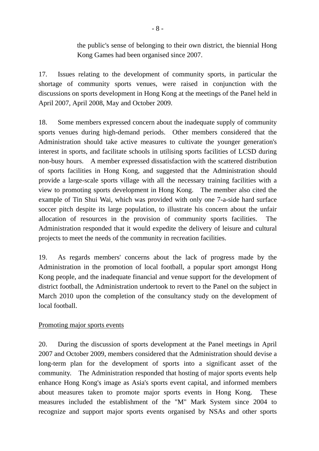the public's sense of belonging to their own district, the biennial Hong Kong Games had been organised since 2007.

17. Issues relating to the development of community sports, in particular the shortage of community sports venues, were raised in conjunction with the discussions on sports development in Hong Kong at the meetings of the Panel held in April 2007, April 2008, May and October 2009.

18. Some members expressed concern about the inadequate supply of community sports venues during high-demand periods. Other members considered that the Administration should take active measures to cultivate the younger generation's interest in sports, and facilitate schools in utilising sports facilities of LCSD during non-busy hours. A member expressed dissatisfaction with the scattered distribution of sports facilities in Hong Kong, and suggested that the Administration should provide a large-scale sports village with all the necessary training facilities with a view to promoting sports development in Hong Kong. The member also cited the example of Tin Shui Wai, which was provided with only one 7-a-side hard surface soccer pitch despite its large population, to illustrate his concern about the unfair allocation of resources in the provision of community sports facilities. The Administration responded that it would expedite the delivery of leisure and cultural projects to meet the needs of the community in recreation facilities.

19. As regards members' concerns about the lack of progress made by the Administration in the promotion of local football, a popular sport amongst Hong Kong people, and the inadequate financial and venue support for the development of district football, the Administration undertook to revert to the Panel on the subject in March 2010 upon the completion of the consultancy study on the development of local football.

## Promoting major sports events

20. During the discussion of sports development at the Panel meetings in April 2007 and October 2009, members considered that the Administration should devise a long-term plan for the development of sports into a significant asset of the community. The Administration responded that hosting of major sports events help enhance Hong Kong's image as Asia's sports event capital, and informed members about measures taken to promote major sports events in Hong Kong. These measures included the establishment of the "M" Mark System since 2004 to recognize and support major sports events organised by NSAs and other sports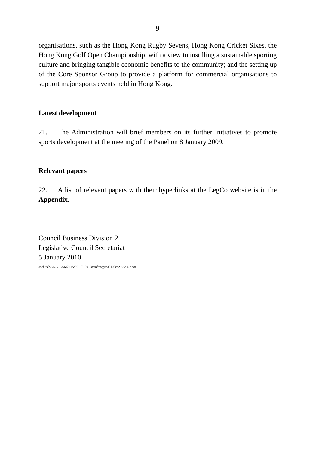organisations, such as the Hong Kong Rugby Sevens, Hong Kong Cricket Sixes, the Hong Kong Golf Open Championship, with a view to instilling a sustainable sporting culture and bringing tangible economic benefits to the community; and the setting up of the Core Sponsor Group to provide a platform for commercial organisations to support major sports events held in Hong Kong.

#### **Latest development**

21. The Administration will brief members on its further initiatives to promote sports development at the meeting of the Panel on 8 January 2009.

#### **Relevant papers**

22. A list of relevant papers with their hyperlinks at the LegCo website is in the **Appendix**.

Council Business Division 2 Legislative Council Secretariat 5 January 2010 J:\cb2\cb2\BC\TEAM2\HA\09-10\100108\softcopy\ha0108cb2-652-4-e.doc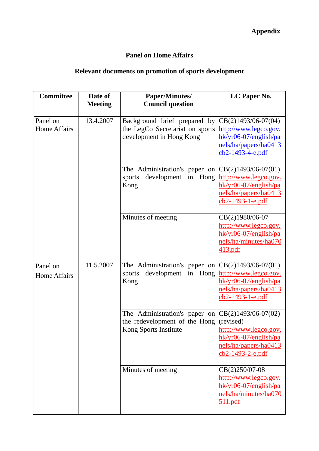## **Panel on Home Affairs**

# **Relevant documents on promotion of sports development**

| <b>Committee</b>                | Date of<br><b>Meeting</b> | <b>Paper/Minutes/</b><br><b>Council question</b>                                            | LC Paper No.                                                                                                                        |
|---------------------------------|---------------------------|---------------------------------------------------------------------------------------------|-------------------------------------------------------------------------------------------------------------------------------------|
| Panel on<br><b>Home Affairs</b> | 13.4.2007                 | Background brief prepared by<br>the LegCo Secretariat on sports<br>development in Hong Kong | $CB(2)1493/06-07(04)$<br>http://www.legco.gov.<br>$hk/yr06-07/english/pa$<br>nels/ha/papers/ha0413<br>cb2-1493-4-e.pdf              |
|                                 |                           | The Administration's paper on<br>development<br>in Hong<br>sports<br>Kong                   | $CB(2)1493/06-07(01)$<br>http://www.legco.gov.<br>hk/yr06-07/english/pa<br>nels/ha/papers/ha0413<br>cb2-1493-1-e.pdf                |
|                                 |                           | Minutes of meeting                                                                          | CB(2)1980/06-07<br>http://www.legco.gov.<br>hk/yr06-07/english/pa<br>nels/ha/minutes/ha070<br>413.pdf                               |
| Panel on<br><b>Home Affairs</b> | 11.5.2007                 | The Administration's paper on<br>development in Hong<br>sports<br>Kong                      | $CB(2)1493/06-07(01)$<br>http://www.legco.gov.<br>hk/yr06-07/english/pa<br>nels/ha/papers/ha0413<br><u>cb2-1493-1-e.pdf</u>         |
|                                 |                           | The Administration's paper on<br>the redevelopment of the Hong<br>Kong Sports Institute     | $CB(2)1493/06-07(02)$<br>(revised)<br>http://www.legco.gov.<br>$hk/yr06-07/english/pa$<br>nels/ha/papers/ha0413<br>cb2-1493-2-e.pdf |
|                                 |                           | Minutes of meeting                                                                          | CB(2)250/07-08<br>http://www.legco.gov.<br>$hk/yr06-07/english/pa$<br>nels/ha/minutes/ha070<br>511.pdf                              |